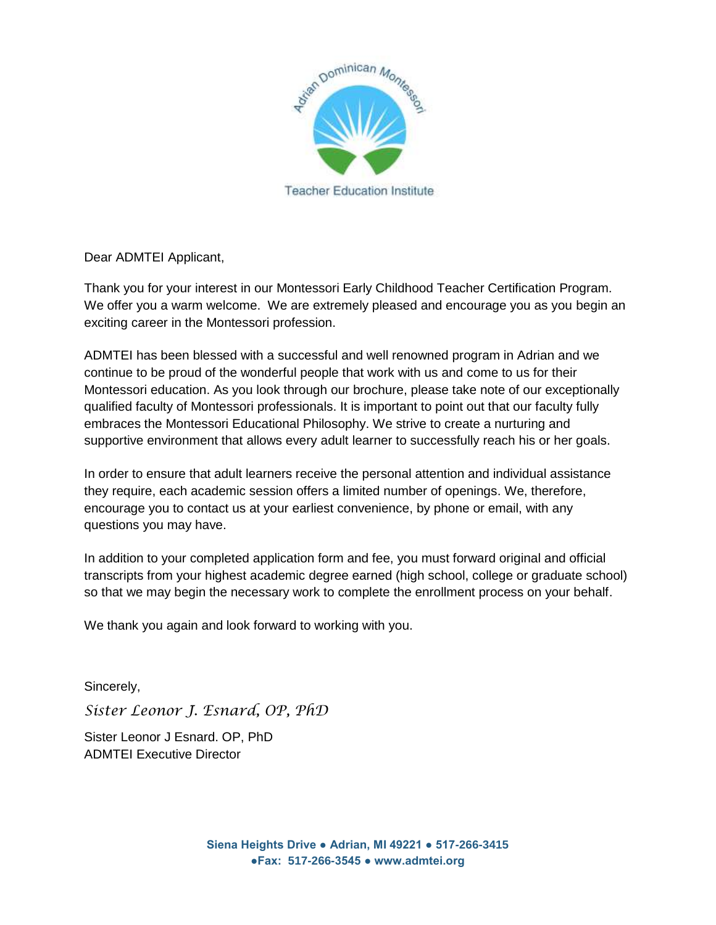

Dear ADMTEI Applicant,

Thank you for your interest in our Montessori Early Childhood Teacher Certification Program. We offer you a warm welcome. We are extremely pleased and encourage you as you begin an exciting career in the Montessori profession.

ADMTEI has been blessed with a successful and well renowned program in Adrian and we continue to be proud of the wonderful people that work with us and come to us for their Montessori education. As you look through our brochure, please take note of our exceptionally qualified faculty of Montessori professionals. It is important to point out that our faculty fully embraces the Montessori Educational Philosophy. We strive to create a nurturing and supportive environment that allows every adult learner to successfully reach his or her goals.

In order to ensure that adult learners receive the personal attention and individual assistance they require, each academic session offers a limited number of openings. We, therefore, encourage you to contact us at your earliest convenience, by phone or email, with any questions you may have.

In addition to your completed application form and fee, you must forward original and official transcripts from your highest academic degree earned (high school, college or graduate school) so that we may begin the necessary work to complete the enrollment process on your behalf.

We thank you again and look forward to working with you.

Sincerely,

*Sister Leonor J. Esnard, OP, PhD*

Sister Leonor J Esnard. OP, PhD ADMTEI Executive Director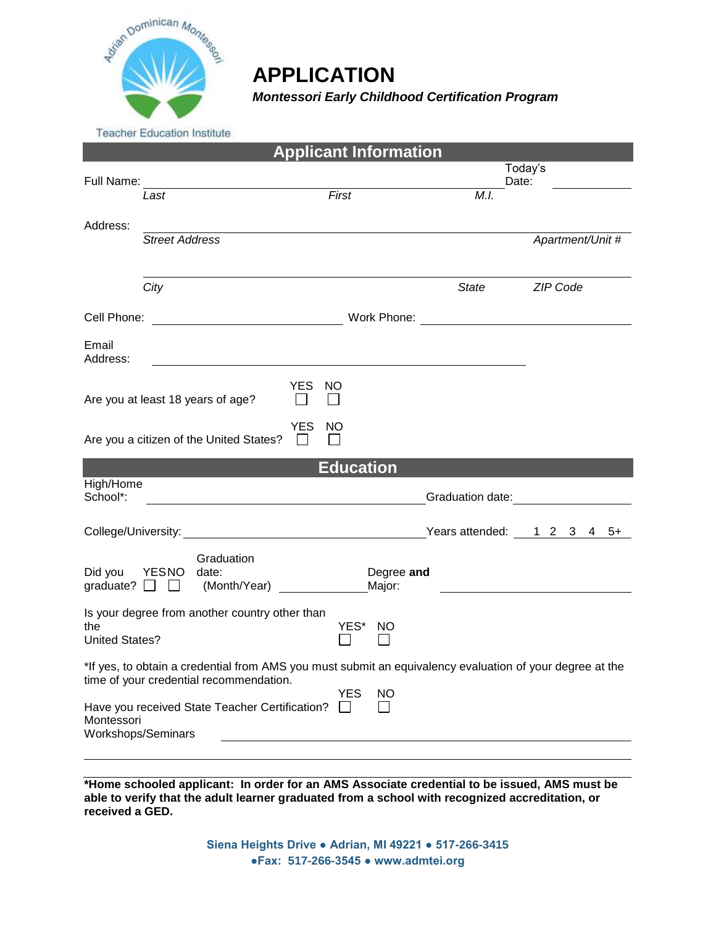

# **APPLICATION**

*Montessori Early Childhood Certification Program*

**Teacher Education Institute** 

| <b>Applicant Information</b>                                                                                                                                      |                       |                                                    |                                         |                      |                  |                            |
|-------------------------------------------------------------------------------------------------------------------------------------------------------------------|-----------------------|----------------------------------------------------|-----------------------------------------|----------------------|------------------|----------------------------|
|                                                                                                                                                                   |                       |                                                    |                                         |                      |                  | Today's<br>Date:           |
| Full Name:                                                                                                                                                        | Last                  | <u>First</u>                                       |                                         |                      | M.I.             |                            |
|                                                                                                                                                                   |                       |                                                    |                                         |                      |                  |                            |
| Address:                                                                                                                                                          | <b>Street Address</b> |                                                    |                                         |                      |                  | Apartment/Unit #           |
|                                                                                                                                                                   |                       |                                                    |                                         |                      |                  |                            |
|                                                                                                                                                                   | City                  |                                                    |                                         |                      | <b>State</b>     | <b>ZIP Code</b>            |
| Cell Phone:                                                                                                                                                       |                       |                                                    |                                         |                      |                  |                            |
| Email<br>Address:                                                                                                                                                 |                       |                                                    |                                         |                      |                  |                            |
|                                                                                                                                                                   |                       | Are you at least 18 years of age?                  | <b>YES</b><br><b>NO</b><br>$\mathbf{L}$ |                      |                  |                            |
|                                                                                                                                                                   |                       | Are you a citizen of the United States?            | <b>YES</b><br><b>NO</b>                 |                      |                  |                            |
|                                                                                                                                                                   |                       |                                                    |                                         |                      |                  |                            |
| High/Home                                                                                                                                                         |                       |                                                    | <b>Education</b>                        |                      |                  |                            |
| School*:                                                                                                                                                          |                       | <u> 1989 - Johann Barn, mars eta bat erroman e</u> |                                         |                      | Graduation date: |                            |
|                                                                                                                                                                   |                       |                                                    |                                         |                      |                  | Years attended: 1 2 3 4 5+ |
| Did you YESNO<br>graduate? $\Box$                                                                                                                                 |                       | Graduation<br>date:<br>(Month/Year)                |                                         | Degree and<br>Major: |                  |                            |
| the<br><b>United States?</b>                                                                                                                                      |                       | Is your degree from another country other than     | YES* NO                                 |                      |                  |                            |
| *If yes, to obtain a credential from AMS you must submit an equivalency evaluation of your degree at the<br>time of your credential recommendation.<br><b>YES</b> |                       |                                                    |                                         |                      |                  |                            |
| Montessori<br>Workshops/Seminars                                                                                                                                  |                       | Have you received State Teacher Certification?     | $\mathbf{I}$                            | NO                   |                  |                            |
|                                                                                                                                                                   |                       |                                                    |                                         |                      |                  |                            |
|                                                                                                                                                                   |                       |                                                    |                                         |                      |                  |                            |

**\*Home schooled applicant: In order for an AMS Associate credential to be issued, AMS must be able to verify that the adult learner graduated from a school with recognized accreditation, or received a GED.**

> **Siena Heights Drive ● Adrian, MI 49221 ● 517-266-3415 ●Fax: 517-266-3545 ● www.admtei.org**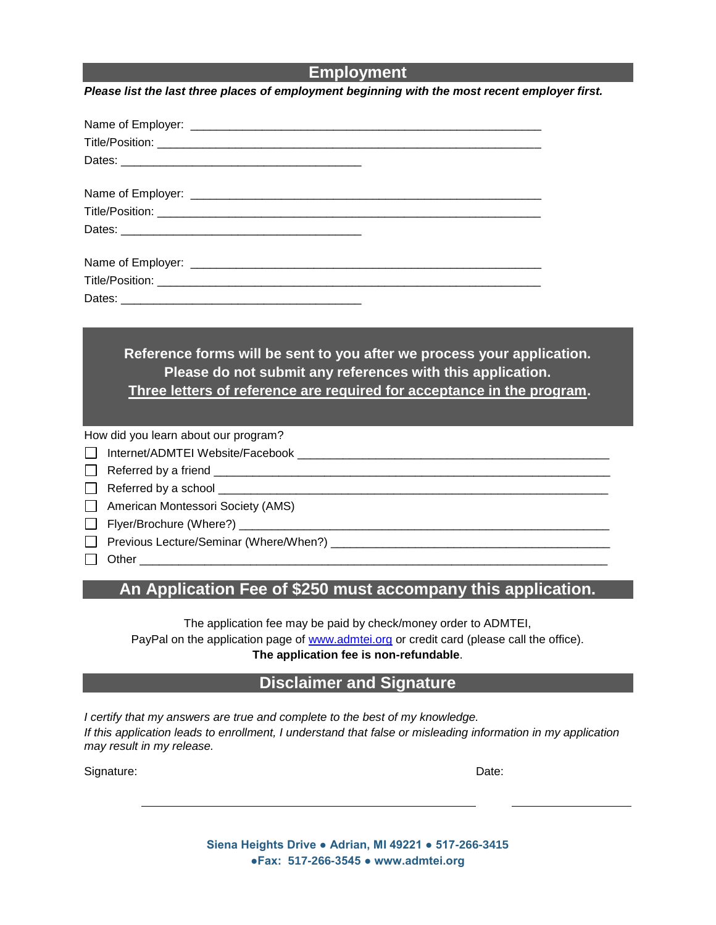#### **Employment**

*Please list the last three places of employment beginning with the most recent employer first.*

**Reference forms will be sent to you after we process your application. Please do not submit any references with this application. Three letters of reference are required for acceptance in the program.** 

How did you learn about our program?

Internet/ADMTEI Website/Facebook \_\_\_\_\_\_\_\_\_\_\_\_\_\_\_\_\_\_\_\_\_\_\_\_\_\_\_\_\_\_\_\_\_\_\_\_\_\_\_\_\_\_\_\_\_\_\_\_

 $\Box$  Referred by a friend

 $\Box$  Referred by a school  $\Box$ 

American Montessori Society (AMS)

 $\Box$  Flyer/Brochure (Where?)  $\Box$ 

Previous Lecture/Seminar (Where/When?)

Other \_\_\_\_\_\_\_\_\_\_\_\_\_\_\_\_\_\_\_\_\_\_\_\_\_\_\_\_\_\_\_\_\_\_\_\_\_\_\_\_\_\_\_\_\_\_\_\_\_\_\_\_\_\_\_\_\_\_\_\_\_\_\_\_\_\_\_\_\_\_\_\_

## **An Application Fee of \$250 must accompany this application.**

The application fee may be paid by check/money order to ADMTEI, PayPal on the application page of [www.admtei.org](http://www.admtei.org/) or credit card (please call the office). **The application fee is non-refundable**.

### **Disclaimer and Signature**

*I certify that my answers are true and complete to the best of my knowledge. If this application leads to enrollment, I understand that false or misleading information in my application may result in my release.*

Signature: Date: Description of the contract of the contract of the contract of the contract of the contract of the contract of the contract of the contract of the contract of the contract of the contract of the contract o

**Siena Heights Drive ● Adrian, MI 49221 ● 517-266-3415 ●Fax: 517-266-3545 ● www.admtei.org**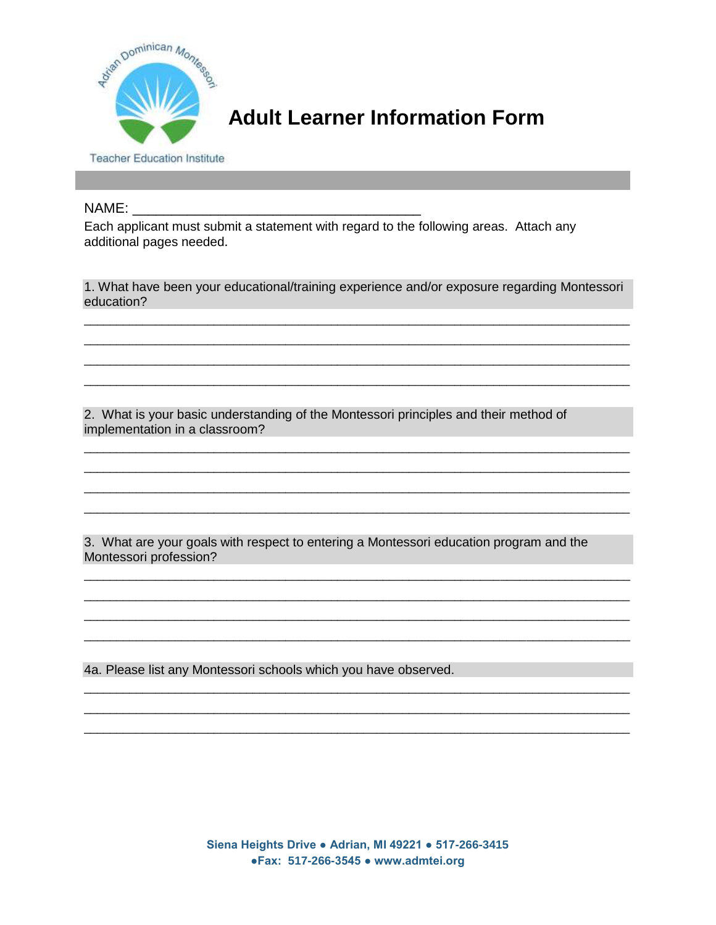

# **Adult Learner Information Form**

**Teacher Education Institute** 

#### NAME:

Each applicant must submit a statement with regard to the following areas. Attach any additional pages needed.

1. What have been your educational/training experience and/or exposure regarding Montessori education?

2. What is your basic understanding of the Montessori principles and their method of implementation in a classroom?

3. What are your goals with respect to entering a Montessori education program and the Montessori profession?

4a. Please list any Montessori schools which you have observed.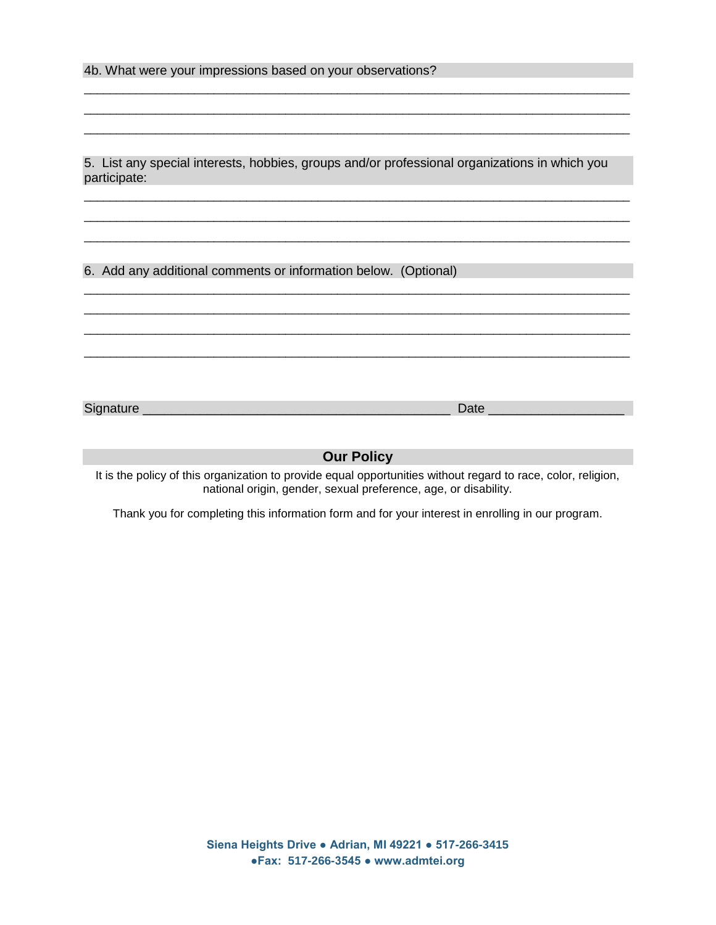4b. What were your impressions based on your observations?

5. List any special interests, hobbies, groups and/or professional organizations in which you participate:

\_\_\_\_\_\_\_\_\_\_\_\_\_\_\_\_\_\_\_\_\_\_\_\_\_\_\_\_\_\_\_\_\_\_\_\_\_\_\_\_\_\_\_\_\_\_\_\_\_\_\_\_\_\_\_\_\_\_\_\_\_\_\_\_\_\_\_\_\_\_\_\_\_\_\_\_\_\_\_\_\_\_\_\_ \_\_\_\_\_\_\_\_\_\_\_\_\_\_\_\_\_\_\_\_\_\_\_\_\_\_\_\_\_\_\_\_\_\_\_\_\_\_\_\_\_\_\_\_\_\_\_\_\_\_\_\_\_\_\_\_\_\_\_\_\_\_\_\_\_\_\_\_\_\_\_\_\_\_\_\_\_\_\_\_\_\_\_\_ \_\_\_\_\_\_\_\_\_\_\_\_\_\_\_\_\_\_\_\_\_\_\_\_\_\_\_\_\_\_\_\_\_\_\_\_\_\_\_\_\_\_\_\_\_\_\_\_\_\_\_\_\_\_\_\_\_\_\_\_\_\_\_\_\_\_\_\_\_\_\_\_\_\_\_\_\_\_\_\_\_\_\_\_

\_\_\_\_\_\_\_\_\_\_\_\_\_\_\_\_\_\_\_\_\_\_\_\_\_\_\_\_\_\_\_\_\_\_\_\_\_\_\_\_\_\_\_\_\_\_\_\_\_\_\_\_\_\_\_\_\_\_\_\_\_\_\_\_\_\_\_\_\_\_\_\_\_\_\_\_\_\_\_\_\_\_\_\_ \_\_\_\_\_\_\_\_\_\_\_\_\_\_\_\_\_\_\_\_\_\_\_\_\_\_\_\_\_\_\_\_\_\_\_\_\_\_\_\_\_\_\_\_\_\_\_\_\_\_\_\_\_\_\_\_\_\_\_\_\_\_\_\_\_\_\_\_\_\_\_\_\_\_\_\_\_\_\_\_\_\_\_\_ \_\_\_\_\_\_\_\_\_\_\_\_\_\_\_\_\_\_\_\_\_\_\_\_\_\_\_\_\_\_\_\_\_\_\_\_\_\_\_\_\_\_\_\_\_\_\_\_\_\_\_\_\_\_\_\_\_\_\_\_\_\_\_\_\_\_\_\_\_\_\_\_\_\_\_\_\_\_\_\_\_\_\_\_ \_\_\_\_\_\_\_\_\_\_\_\_\_\_\_\_\_\_\_\_\_\_\_\_\_\_\_\_\_\_\_\_\_\_\_\_\_\_\_\_\_\_\_\_\_\_\_\_\_\_\_\_\_\_\_\_\_\_\_\_\_\_\_\_\_\_\_\_\_\_\_\_\_\_\_\_\_\_\_\_\_\_\_\_

\_\_\_\_\_\_\_\_\_\_\_\_\_\_\_\_\_\_\_\_\_\_\_\_\_\_\_\_\_\_\_\_\_\_\_\_\_\_\_\_\_\_\_\_\_\_\_\_\_\_\_\_\_\_\_\_\_\_\_\_\_\_\_\_\_\_\_\_\_\_\_\_\_\_\_\_\_\_\_\_\_\_\_\_ \_\_\_\_\_\_\_\_\_\_\_\_\_\_\_\_\_\_\_\_\_\_\_\_\_\_\_\_\_\_\_\_\_\_\_\_\_\_\_\_\_\_\_\_\_\_\_\_\_\_\_\_\_\_\_\_\_\_\_\_\_\_\_\_\_\_\_\_\_\_\_\_\_\_\_\_\_\_\_\_\_\_\_\_ \_\_\_\_\_\_\_\_\_\_\_\_\_\_\_\_\_\_\_\_\_\_\_\_\_\_\_\_\_\_\_\_\_\_\_\_\_\_\_\_\_\_\_\_\_\_\_\_\_\_\_\_\_\_\_\_\_\_\_\_\_\_\_\_\_\_\_\_\_\_\_\_\_\_\_\_\_\_\_\_\_\_\_\_

6. Add any additional comments or information below. (Optional)

Signature \_\_\_\_\_\_\_\_\_\_\_\_\_\_\_\_\_\_\_\_\_\_\_\_\_\_\_\_\_\_\_\_\_\_\_\_\_\_\_\_\_\_\_ Date \_\_\_\_\_\_\_\_\_\_\_\_\_\_\_\_\_\_\_

#### **Our Policy**

It is the policy of this organization to provide equal opportunities without regard to race, color, religion, national origin, gender, sexual preference, age, or disability.

Thank you for completing this information form and for your interest in enrolling in our program.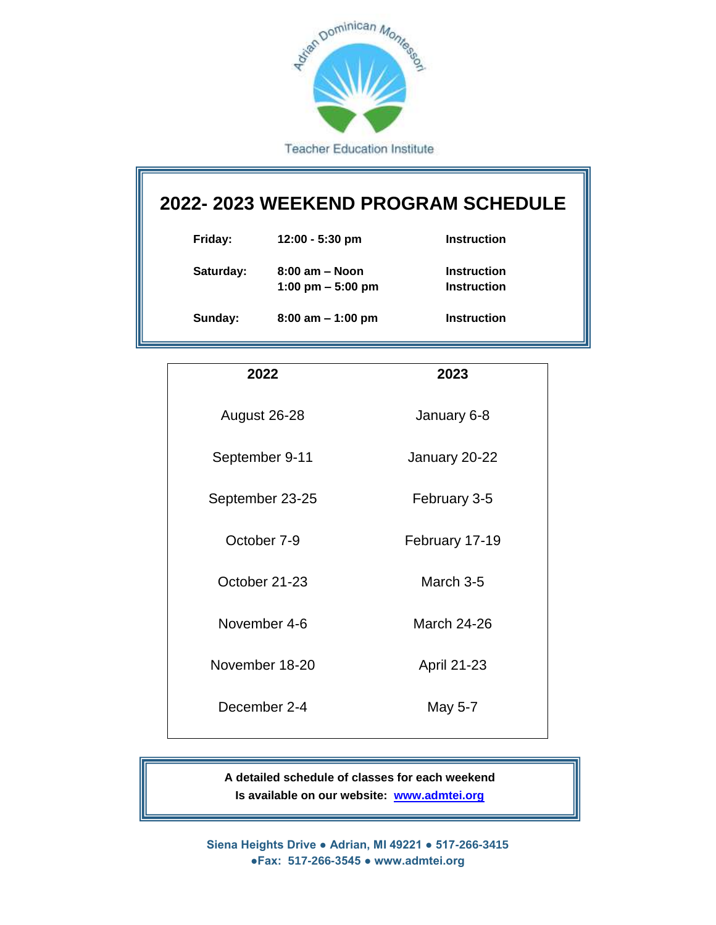

## **2022- 2023 WEEKEND PROGRAM SCHEDULE**

| Friday:   | $12:00 - 5:30$ pm                         | Instruction                |
|-----------|-------------------------------------------|----------------------------|
| Saturday: | $8:00$ am $-$ Noon<br>1:00 pm $-$ 5:00 pm | Instruction<br>Instruction |
| Sunday:   | $8:00$ am $-1:00$ pm                      | Instruction                |

| 2022            | 2023               |
|-----------------|--------------------|
| August 26-28    | January 6-8        |
| September 9-11  | January 20-22      |
| September 23-25 | February 3-5       |
| October 7-9     | February 17-19     |
| October 21-23   | March 3-5          |
| November 4-6    | <b>March 24-26</b> |
| November 18-20  | <b>April 21-23</b> |
| December 2-4    | May 5-7            |
|                 |                    |

**A detailed schedule of classes for each weekend Is available on our website: [www.admtei.org](http://www.admtei.org/)**

**Siena Heights Drive ● Adrian, MI 49221 ● 517-266-3415 ●Fax: 517-266-3545 ● www.admtei.org**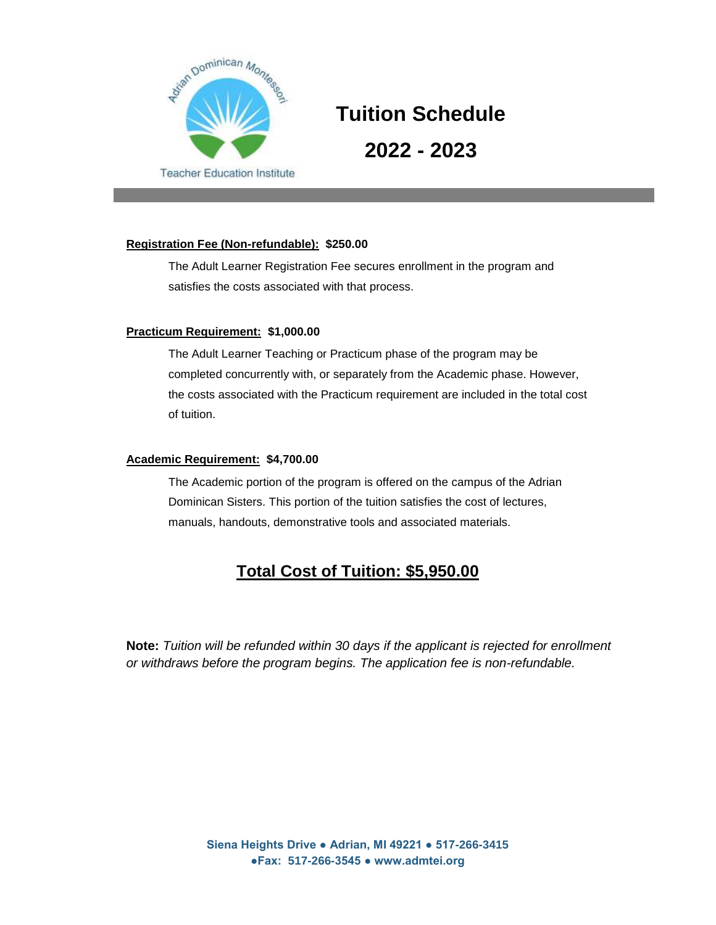

# **Tuition Schedule 2022 - 2023**

#### **Registration Fee (Non-refundable): \$250.00**

The Adult Learner Registration Fee secures enrollment in the program and satisfies the costs associated with that process.

#### **Practicum Requirement: \$1,000.00**

The Adult Learner Teaching or Practicum phase of the program may be completed concurrently with, or separately from the Academic phase. However, the costs associated with the Practicum requirement are included in the total cost of tuition.

#### **Academic Requirement: \$4,700.00**

The Academic portion of the program is offered on the campus of the Adrian Dominican Sisters. This portion of the tuition satisfies the cost of lectures, manuals, handouts, demonstrative tools and associated materials.

## **Total Cost of Tuition: \$5,950.00**

**Note:** *Tuition will be refunded within 30 days if the applicant is rejected for enrollment or withdraws before the program begins. The application fee is non-refundable.*